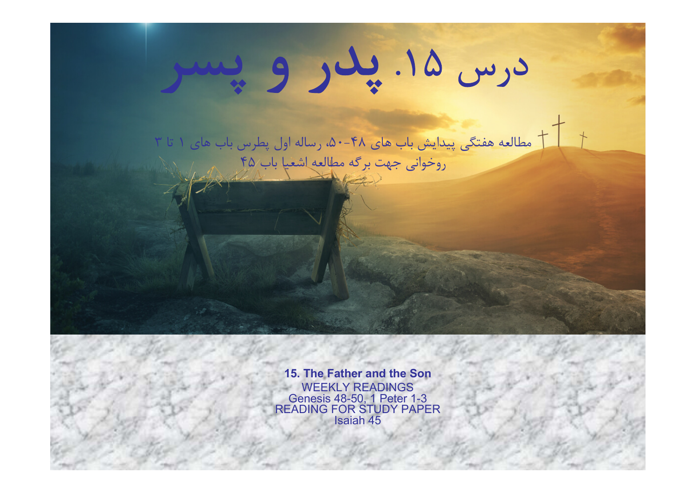# درس ١۵. پلار و پس

مطالعه هفتگي پيدايش باب هاي ،٥٠-٤٨ رساله اول پطرس باب هاي ١ تا ٣ روخواني جهت برگه مطالعه اشعيا باب ٤٥

> 15. The Father and the Son WEEKLY READINGS Genesis 48-50, 1 Peter 1-3 READING FOR STUDY PAPER Isaiah 45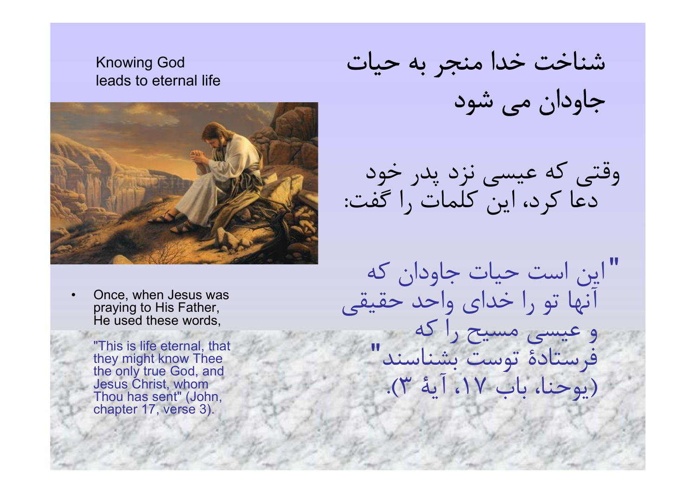### Knowing God leads to eternal life



• Once, when Jesus was praying to His Father, He used these words,

> "This is life eternal, that they might know Thee the only true God, and Jesus Christ, whom Thou has sent" (John, chapter 17, verse 3).

شناخت خدا منجر به حيات جاودان مي شود

وقتي كه عيسي نزد پدر خود دعا كرد، اين كلمات را گفت :

"اين است حيات جاودان كه آنها تو را خداي واحد حقيقي و عيسي مسيح را كه فرستادة توست بشناسند " (يوحنا، باب ،١٧ آية ٣).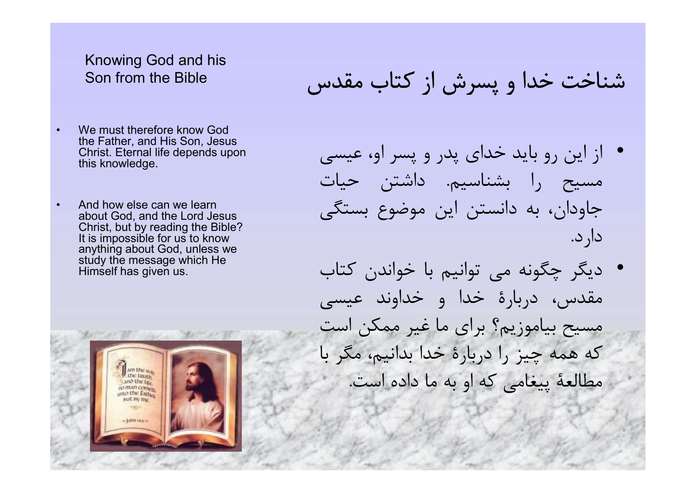## Knowing God and his Son from the Bible

- We must therefore know God the Father, and His Son, Jesus Christ. Eternal life depends upon this knowledge.
- And how else can we learn about God, and the Lord Jesus Christ, but by reading the Bible? It is impossible for us to know anything about God, unless we study the message which He Himself has given us.



شناخت خدا و پسرش از كتاب مقدس

- از اين رو بايد خداي پدر و پسر او، عيسي مسيح را بشناسيم. داشتن حيات جاودان، به دانستن اين موضوع بستگي دارد .
- ديگر چگونه مي توانيم با خواندن كتاب مقدس، دربارة خدا و خداوند عيسي مسيح بياموزيم؟ براي ما غير ممكن است كه همه چيز را دربارة خدا بدانيم، مگر با مطالعة پيغامي كه او به ما داده است .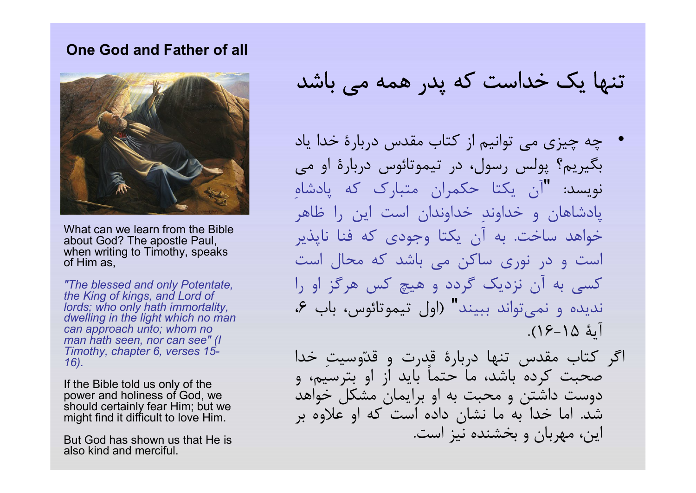#### One God and Father of all



What can we learn from the Bible about God? The apostle Paul, when writing to Timothy, speaks of Him as,

"The blessed and only Potentate, the King of kings, and Lord of lords; who only hath immortality, dwelling in the light which no man can approach unto; whom no man hath seen, nor can see" (I Timothy, chapter 6, verses 15- 16).

If the Bible told us only of the power and holiness of God, we should certainly fear Him; but we might find it difficult to love Him.

But God has shown us that He is also kind and merciful.

تنها يك خداست كه پدر همه مي باشد

• چه چيزي مي توانيم از كتاب مقدس دربارة خدا ياد بگيريم؟ پولس رسول، در تيموتائوس دربارة او مي نويسد: "آن يكتا حكمران متبارک كه پادشاهِ پادشاهان و خداوند خداوندان است اين را ظاهر خواهد ساخت. به آن يكتا وجودي كه فنا ناپذير است و در نوري ساكن مي باشد كه محال است كسي به آن نزديك گردد و هيچ كس هرگز او را نديده و نمي تواند ببيند" (اول تيموتائوس، باب ۶، آية ١٦-١٥).

اگر كتاب مقدس تنها دربارة قدرت و ق دوسيت خدا صحبت كرده باشد، ما حتماً بايد از او بترسيم، و دوست داشتن و محبت به او برايمان مشكل خواهد شد. اما خدا به ما نشان داده است كه او علاوه بر اين، مهربان و بخشنده نيز است.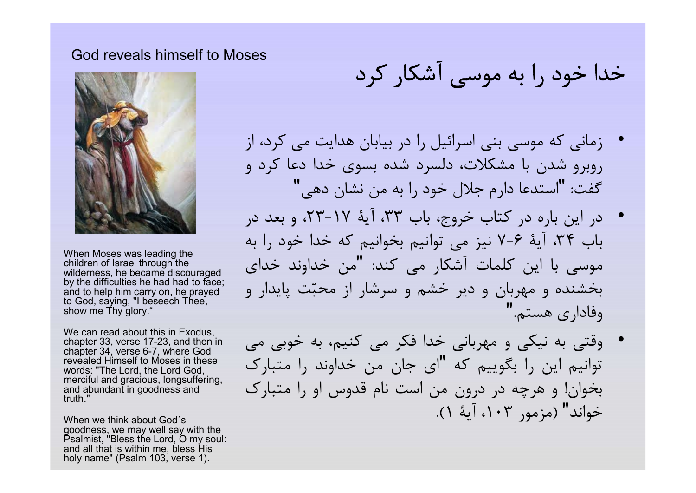#### God reveals himself to Moses



When Moses was leading the children of Israel through the wilderness, he became discouraged by the difficulties he had had to face; and to help him carry on, he prayed to God, saying, "I beseech Thee, show me Thy glory."

We can read about this in Exodus, chapter 33, verse 17-23, and then in chapter 34, verse 6-7, where God revealed Himself to Moses in these words: "The Lord, the Lord God, merciful and gracious, longsuffering, and abundant in goodness and truth."

When we think about God´s goodness, we may well say with the Psalmist, "Bless the Lord, O my soul: and all that is within me, bless His holy name" (Psalm 103, verse 1).

خدا خود را به موسي آشكار كرد

- زماني كه موسي بني اسرائيل را در بيابان هدايت مي كرد، از روبرو شدن با مشكلات، دلسرد شده بسوي خدا دعا كرد و "استدعا دارم جلال خود را به من نشان دهي " گفت:
- در اين باره در كتاب خروج، باب ،٣٣ آية ،٢٣-١٧ و بعد در باب ،٣٤ آية ٧-٦ نيز مي توانيم بخوانيم كه خدا خود را به موسى با اين كلمات آشكار مى كند: "من خداوند خداى بخشنده و مهربان و دير خشم و سرشار از محبت پايدار و وفاداري هستم ."
- وقتي به نيكي و مهرباني خدا فكر مي كنيم، به خوبي مي توانيم اين را بگوييم كه "اي جان من خداوند را متبارك بخوان! و هرچه در درون من است نام قدوس او را متبارك خواند" (مزمور ،١٠٣ آية ١).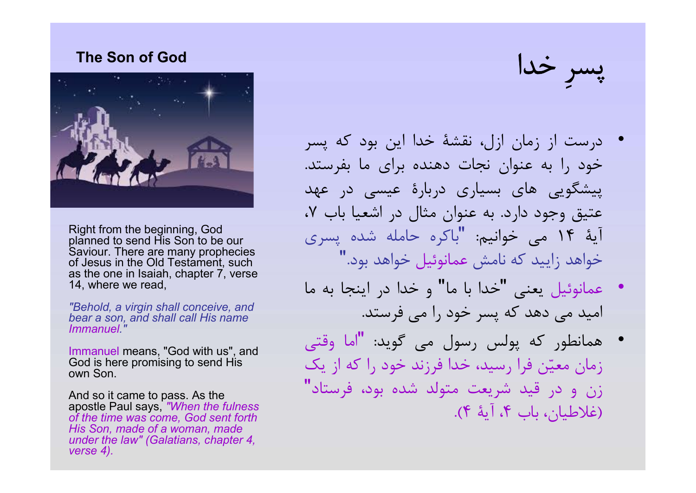#### The Son of God



• Right from the beginning, God planned to send His Son to be our Saviour. There are many prophecies of Jesus in the Old Testament, such as the one in Isaiah, chapter 7, verse 14, where we read,

"Behold, a virgin shall conceive, and bear a son, and shall call His name Immanuel."

Immanuel means, "God with us", and God is here promising to send His own Son.

And so it came to pass. As the apostle Paul says, "When the fulness of the time was come, God sent forth His Son, made of a woman, made under the law" (Galatians, chapter 4, verse 4).

پسرِ خدا

- درست از زمان ازل، نقشة خدا اين بود كه پسر خود را به عنوان نجات دهنده براي ما بفرستد . پيشگويي هاي بسياري دربارة عيسي در عهد عتيق وجود دارد . به عنوان مثال در اشعيا باب ،٧ آيهٔ ۱۴ می خوانيم: "باكره حامله شده پسری خواهد زاييد كه نامش عمانوئيل خواهد بود."
- "خدا با ما" و خدا در اينجا به ما عمانوئيل يعني اميد مي دهد كه پسر خود را مي فرستد .
- "اما وقتي همانطور كه پولس رسول مي گويد: زمان معين فرا رسيد، خدا فرزند خود را كه از يك زن و در قيد شريعت متولد شده بود، فرستاد " (غلاطيان، باب ،٤ آية ٤).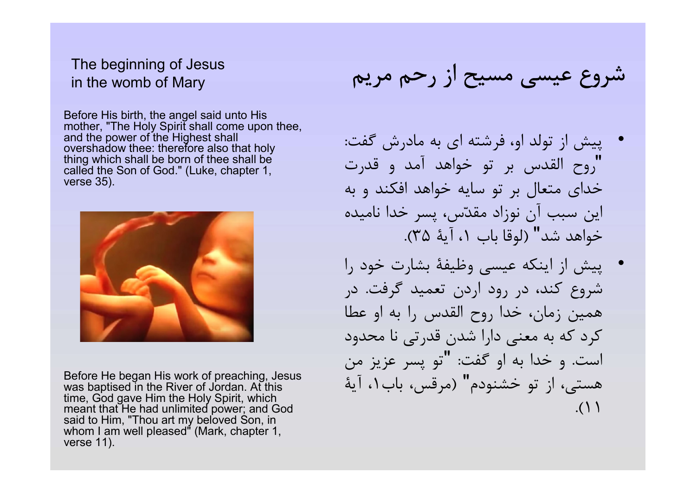## The beginning of Jesus in the womb of Mary

Before His birth, the angel said unto His mother, "The Holy Spirit shall come upon thee, and the power of the Highest shall overshadow thee: therefore also that holy thing which shall be born of thee shall be called the Son of God." (Luke, chapter 1, verse 35).



Before He began His work of preaching, Jesus was baptised in the River of Jordan. At this time, God gave Him the Holy Spirit, which meant that He had unlimited power; and God said to Him, "Thou art my beloved Son, in whom I am well pleased" (Mark, chapter 1, verse 11).

# شروع عيسي مسيح از رحم مريم

- پيش از تولد او، فرشته اي به مادرش گفت : "روح القدس بر تو خواهد آمد و قدرت خداي متعال بر تو سايه خواهد افكند و به اين سبب آن نوزاد مقدس، پسر خدا ناميده خواهد شد" (لوقا باب ،١ آية ٣٥).
- پيش از اينكه عيسي وظيفة بشارت خود را شروع كند، در رود اردن تعميد گرفت . در همين زمان، خدا روح القدس را به او عطا كرد كه به معني دارا شدن قدرتي نا محدود تو پسر عزيز من " است. و خدا به او گفت: هستي، از تو خشنودم" (مرقس، باب،١ آية .(١١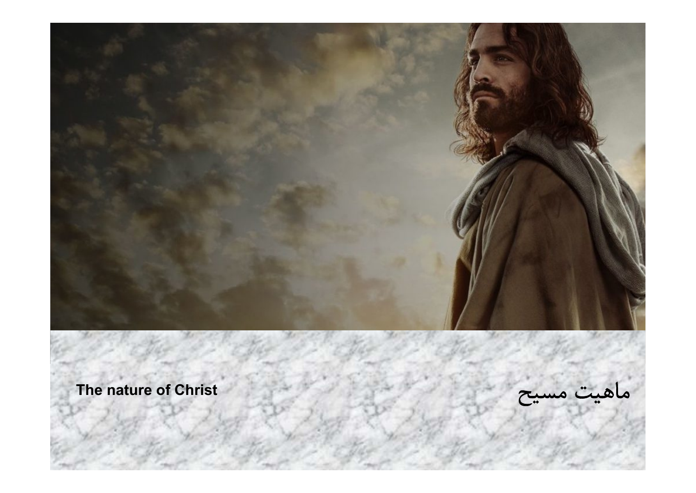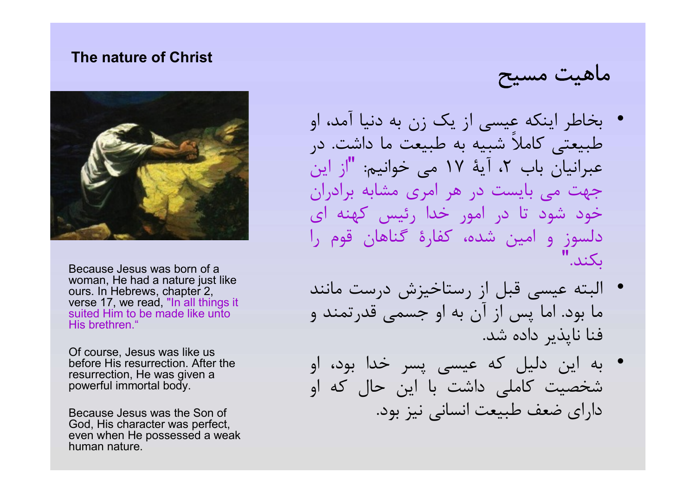#### The nature of Christ



• Because Jesus was born of a woman, He had a nature just like ours. In Hebrews, chapter 2, verse 17, we read, "In all things it suited Him to be made like unto His brethren<sup>"</sup>

• Of course, Jesus was like us before His resurrection. After the resurrection, He was given a powerful immortal body.

• Because Jesus was the Son of God, His character was perfect, even when He possessed a weak human nature.

ماهيت مسيح

- بخاطر اينكه عيسي از يك زن به دنيا آمد، او طبيعتي كاملاً شبيه به طبيعت ما داشت. در عبرانيان باب ٢، آيهٔ ١٧ مي خوانيم: "از اين جهت مي بايست در هر امري مشابه برادران خود شود تا در امور خدا رئيس كهنه اي دلسوز و امين شده، كفارة گناهان قوم را بكند."
- البته عيسي قبل از رستاخيزش درست مانند ما بود. اما پس از آن به او جسمي قدرتمند و فنا ناپذير داده شد.
- به اين دليل كه عيسي پسر خدا بود، او شخصيت كاملي داشت با اين حال كه او داراي ضعف طبيعت انساني نيز بود.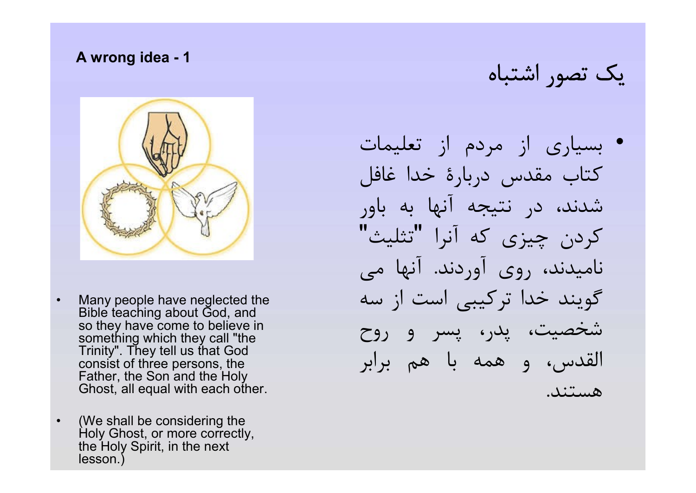#### A wrong idea - 1



- Many people have neglected the Bible teaching about God, and so they have come to believe in something which they call "the Trinity". They tell us that God consist of three persons, the Father, the Son and the Holy Ghost, all equal with each other.
- (We shall be considering the Holy Ghost, or more correctly, the Holy Spirit, in the next lesson.)

يك تصور اشتباه

• بسياري از مردم از تعليمات كتاب مقدس دربارة خدا غافل شدند، در نتيجه آنها به باور كردن چيزي كه آنرا "تثليث" ناميدند، روي آوردند . آنها مي گويند خدا تركيبي است از سه شخصيت، پدر، پسر و روح القدس، و همه با هم برابر هستند.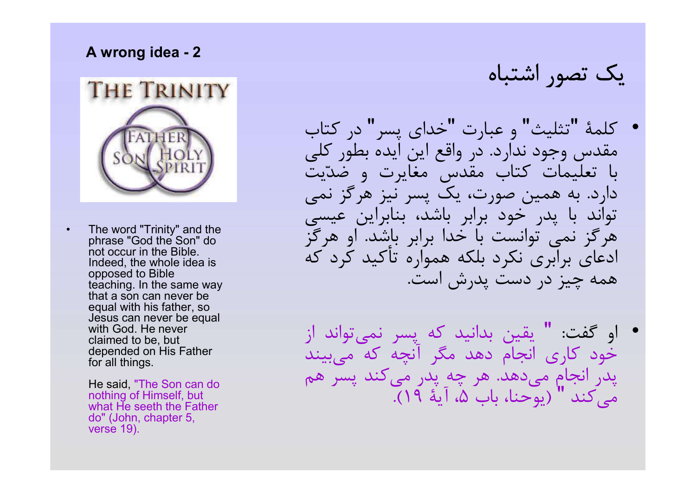#### A wrong idea - 2



The word "Trinity" and the phrase "God the Son" do not occur in the Bible. Indeed, the whole idea is opposed to Bible teaching. In the same way that a son can never be equal with his father, so Jesus can never be equal with God. He never claimed to be, but depended on His Father for all things.

> He said, "The Son can do nothing of Himself, but what He seeth the Father do" (John, chapter 5, verse 19).

يك تصور اشتباه

- كلمة "تثليث" و عبارت "خداي پسر" در كتاب مقدس وجود ندارد. در واقع اين ايده بطور كلي با تعليمات كتاب مقدس مغايرت و ضديت دارد. به همين صورت، يك پسر نيز هرگز نمي تواند با پدر خود برابر باشد، بنابراين عيسي هرگز نمي توانست با خدا برابر باشد. او هرگز ادعاي برابري نكرد بلكه همواره تأكيد كرد كه همه چيز در دست پدرش است.
- " يقين بدانيد كه پسر نمي تواند از او گفت: خود كاري انجام دهد مگر آنچه كه ميبيند پدر انجام مي دهد. هر چه پدر مي كند پسر هم مي كند " (يوحنا، باب ،٥ آية ١٩).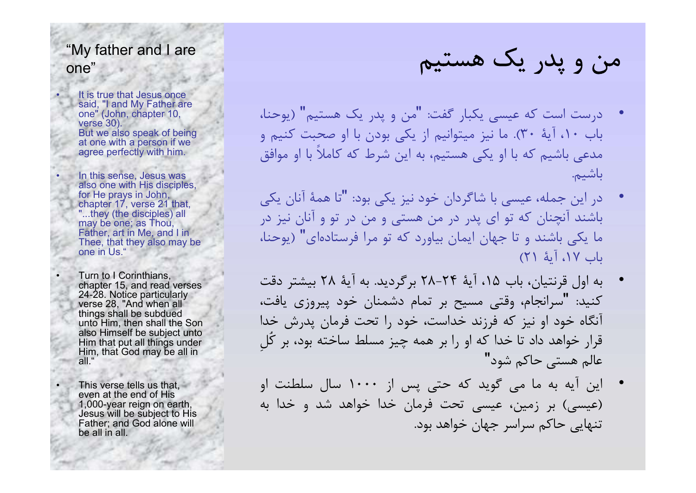# "My father and I are one"

It is true that Jesus once said, "I and My Father are one" (John, chapter 10, verse 30). But we also speak of being at one with a person if we agree perfectly with him.

• In this sense, Jesus was also one with His disciples, for He prays in John, chapter 17, verse 21 that, "...they (the disciples) all may be one; as Thou Father, art in Me, and I in Thee, that they also may be one in Us."

• Turn to I Corinthians, chapter 15, and read verses 24-28. Notice particularly verse 28, "And when all things shall be subdued unto Him, then shall the Son also Himself be subject unto Him that put all things under Him, that God may be all in all."

This verse tells us that, even at the end of His 1,000-year reign on earth, Jesus will be subject to His Father; and God alone will be all in all.

من و پدر يك هستيم

- درست است كه عيسى يكبار گفت: "من و پدر يک هستيم" (يوحنا، باب ،١٠ آية ٣٠). ما نيز ميتوانيم از يكي بودن با او صحبت كنيم و مدعي باشيم كه با او يكي هستيم، به اين شرط كه كاملاً با او موافق باشيم.
- "تا همة آنان يكي در اين جمله، عيسي با شاگردان خود نيز يكي بود: باشند آنچنان كه تو اي پدر در من هستي و من در تو و آنان نيز در ما يكي باشند و تا جهان ايمان بياورد كه تو مرا فرستاده اي " (يوحنا، باب ،١٧ آية ٢١)
- به اول قرنتيان، باب ،١٥ آية ٢٨-٢٤ برگرديد. به آية ٢٨ بيشتر دقت كنيد: "سرانجام، وقتى مسيح بر تمام دشمنان خود پيروزى يافت، آنگاه خود او نيز كه فرزند خداست، خود را تحت فرمان پدرش خدا قرار خواهد داد تا خدا كه او را بر همه چيز مسلط ساخته بود، بر كُلِ عالم هستي حاكم شود"
- اين آيه به ما مي گويد كه حتي پس از ١٠٠٠ سال سلطنت او (عيسي) بر زمين، عيسي تحت فرمان خدا خواهد شد و خدا به تنهايي حاكم سراسر جهان خواهد بود .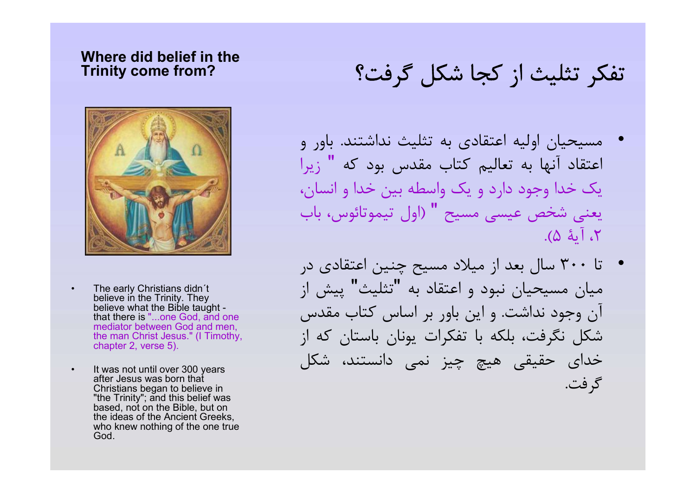#### Where did belief in the Trinity come from?



- The early Christians didn't believe in the Trinity. They believe what the Bible taught that there is "...one God, and one mediator between God and men, the man Christ Jesus." (I Timothy, chapter 2, verse 5).
- It was not until over 300 years after Jesus was born that Christians began to believe in "the Trinity"; and this belief was based, not on the Bible, but on the ideas of the Ancient Greeks, who knew nothing of the one true God.

# تفكر تثليث از كجا شكل گرفت؟

- مسيحيان اوليه اعتقادي به تثليث نداشتند. باور و اعتقاد آنها به تعاليم كتاب مقدس بود كه " زيرا يك خدا وجود دارد و يك واسطه بين خدا و انسان، يعني شخص عيسي مسيح " (اول تيموتائوس، باب ،٢ آية ٥).
- تا ٣٠٠ سال بعد از ميلاد مسيح چنين اعتقادي در ميان مسيحيان نبود و اعتقاد به "تثليث" پيش از آن وجود نداشت. و اين باور بر اساس كتاب مقدس شكل نگرفت، بلكه با تفكرات يونان باستان كه از خداي حقيقي هيچ چيز نمي دانستند، شكل گرفت.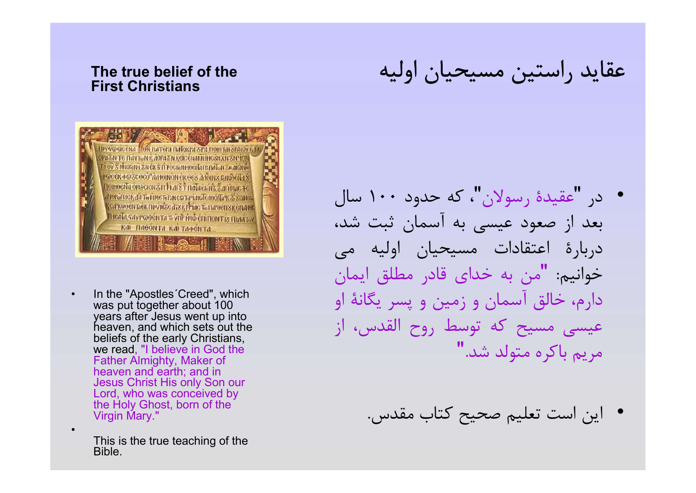#### The true belief of the First Christians



In the "Apostles' Creed", which was put together about 100 years after Jesus went up into heaven, and which sets out the beliefs of the early Christians, we read, "I believe in God the Father Almighty, Maker of heaven and earth; and in Jesus Christ His only Son our Lord, who was conceived by the Holy Ghost, born of the Virgin Mary."

> This is the true teaching of the Bible.

•

عقايد راستين مسيحيان اوليه

- "عقيدة رسولان"، كه حدود ١٠٠ سال در بعد از صعود عيسي به آسمان ثبت شد، دربارة اعتقادات مسيحيان اوليه مي خوانيم: "من به خداى قادر مطلق ايمان دارم، خالق آسمان و زمين و پسر يگانة او عيسي مسيح كه توسط روح القدس، از مريم باكره متولد شد. "
	- اين است تعليم صحيح كتاب مقدس .